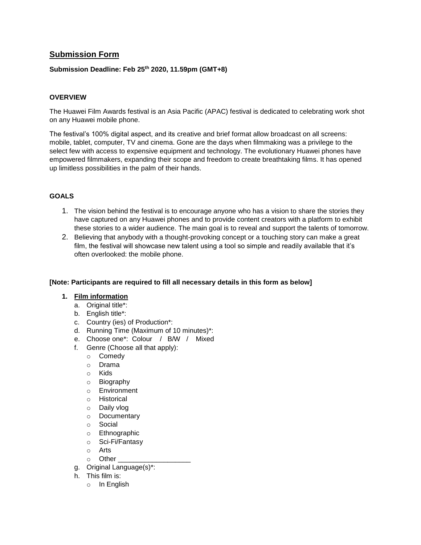# **Submission Form**

## **Submission Deadline: Feb 25th 2020, 11.59pm (GMT+8)**

## **OVERVIEW**

The Huawei Film Awards festival is an Asia Pacific (APAC) festival is dedicated to celebrating work shot on any Huawei mobile phone.

The festival's 100% digital aspect, and its creative and brief format allow broadcast on all screens: mobile, tablet, computer, TV and cinema. Gone are the days when filmmaking was a privilege to the select few with access to expensive equipment and technology. The evolutionary Huawei phones have empowered filmmakers, expanding their scope and freedom to create breathtaking films. It has opened up limitless possibilities in the palm of their hands.

## **GOALS**

- 1. The vision behind the festival is to encourage anyone who has a vision to share the stories they have captured on any Huawei phones and to provide content creators with a platform to exhibit these stories to a wider audience. The main goal is to reveal and support the talents of tomorrow.
- 2. Believing that anybody with a thought-provoking concept or a touching story can make a great film, the festival will showcase new talent using a tool so simple and readily available that it's often overlooked: the mobile phone.

#### **[Note: Participants are required to fill all necessary details in this form as below]**

#### **1. Film information**

- a. Original title\*:
- b. English title\*:
- c. Country (ies) of Production\*:
- d. Running Time (Maximum of 10 minutes)\*:
- e. Choose one\*: Colour / B/W / Mixed
- f. Genre (Choose all that apply):
	- o Comedy
	- o Drama
	- o Kids
	- o Biography
	- o Environment
	- o Historical
	- o Daily vlog
	- o Documentary
	- o Social
	- o Ethnographic
	- o Sci-Fi/Fantasy
	- o Arts
	- $\circ$  Other
- g. Original Language(s)\*:
- h. This film is:
	- o In English